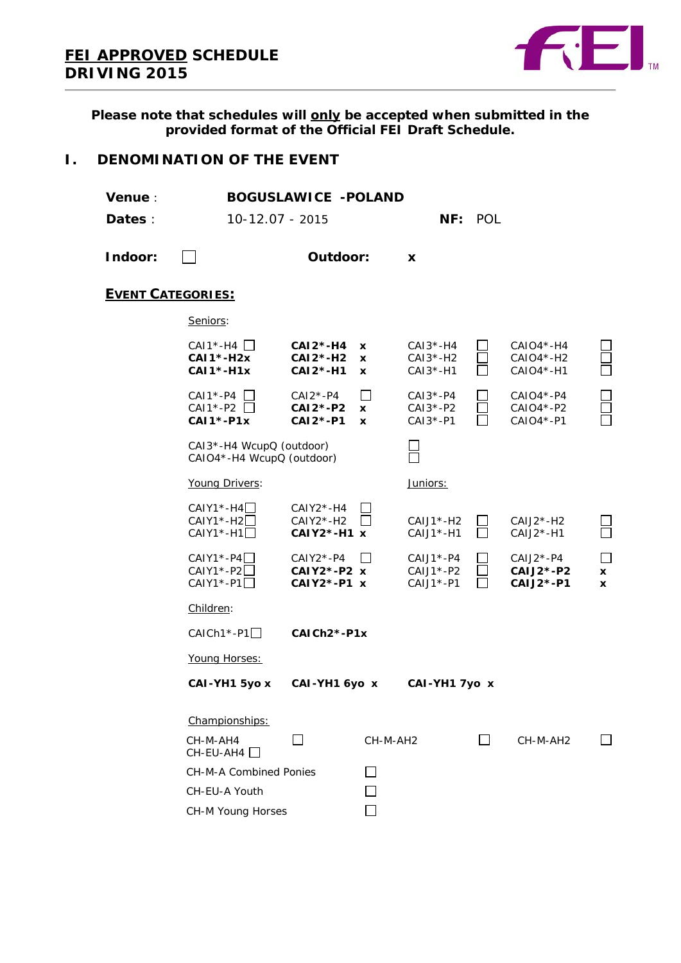

**Please note that schedules will only be accepted when submitted in the provided format of the Official FEI Draft Schedule.**

## **I. DENOMINATION OF THE EVENT**

| <b>Venue</b> :<br>Dates : | 10-12.07 - 2015                                                 | <b>BOGUSLAWICE -POLAND</b>                  |                                          |                                            | NF: POL        |                                                    |                                   |
|---------------------------|-----------------------------------------------------------------|---------------------------------------------|------------------------------------------|--------------------------------------------|----------------|----------------------------------------------------|-----------------------------------|
| Indoor:                   |                                                                 | Outdoor:                                    |                                          | X                                          |                |                                                    |                                   |
| <b>EVENT CATEGORIES:</b>  |                                                                 |                                             |                                          |                                            |                |                                                    |                                   |
|                           | Seniors:                                                        |                                             |                                          |                                            |                |                                                    |                                   |
|                           | $CAI*-H4$ $\Box$<br>$CAI*-H2x$<br>$CAI*-H1x$                    | $CAI2$ *-H4<br>$CAI2*-H2$<br>$CAI2*-H1$     | x<br><b>x</b><br>X                       | $CAI3*-H4$<br>$CAI3*-H2$<br>$CAI3* - H1$   |                | $CAIO4*-H4$<br>$CAIO4*-H2$<br>CAIO4*-H1            |                                   |
|                           | $CAI*-P4$<br>CAI1*-P2<br><b>CAI1*-P1x</b>                       | $CAI2*-P4$<br><b>CAI2*-P2</b><br>$CAI2*-P1$ | $\mathsf{L}$<br><b>X</b><br>$\mathbf{x}$ | $CAI3*-P4$<br>$CAI3*-P2$<br>$CAI3*-P1$     |                | $CAIO4*-P4$<br>CAIO4*-P2<br>CAIO4*-P1              |                                   |
|                           | CAI3*-H4 WcupQ (outdoor)<br>CAIO4*-H4 WcupQ (outdoor)           |                                             |                                          |                                            |                |                                                    |                                   |
|                           | Young Drivers:                                                  |                                             |                                          | Juniors:                                   |                |                                                    |                                   |
|                           | $CAIY1$ <sup>*</sup> -H4 $\Box$<br>$CAIY1* - H2$<br>$CAIY1*-H1$ | $CAIY2*-H4$<br>$CAIY2*-H2$<br>$CAIY2*-H1 x$ |                                          | $CAJJ^* - H2$<br>$CAJ1* - H1$              |                | $CAIJ2*-H2$<br>$CAJ2*-H1$                          |                                   |
|                           | $CAIY1*-P4$<br>$CAIY1*-P2$<br>$CAIY1*-P1$                       | CAIY2*-P4<br>CAIY2*-P2 x<br>$CAIY2*-P1 x$   |                                          | $CAJJ^* - P4$<br>$CAJJ^*$ -P2<br>CAIJ1*-P1 |                | $CAJ2*-P4$<br><b>CAIJ2*-P2</b><br><b>CAIJ2*-P1</b> | $\mathbf{I}$<br>x<br>$\mathbf{x}$ |
|                           | Children:                                                       |                                             |                                          |                                            |                |                                                    |                                   |
|                           | $CAICH1*-P1$                                                    | CAICh <sub>2</sub> *-P1x                    |                                          |                                            |                |                                                    |                                   |
|                           | Young Horses:                                                   |                                             |                                          |                                            |                |                                                    |                                   |
|                           | CAI-YH1 5yo x                                                   | CAI-YH1 6yo x                               |                                          | CAI-YH1 7yo x                              |                |                                                    |                                   |
|                           | Championships:<br>CH-M-AH4<br>CH-EU-AH4                         |                                             | CH-M-AH2                                 |                                            | $\blacksquare$ | CH-M-AH2                                           |                                   |
|                           | <b>CH-M-A Combined Ponies</b>                                   |                                             |                                          |                                            |                |                                                    |                                   |
|                           | CH-EU-A Youth                                                   |                                             |                                          |                                            |                |                                                    |                                   |
|                           | CH-M Young Horses                                               |                                             |                                          |                                            |                |                                                    |                                   |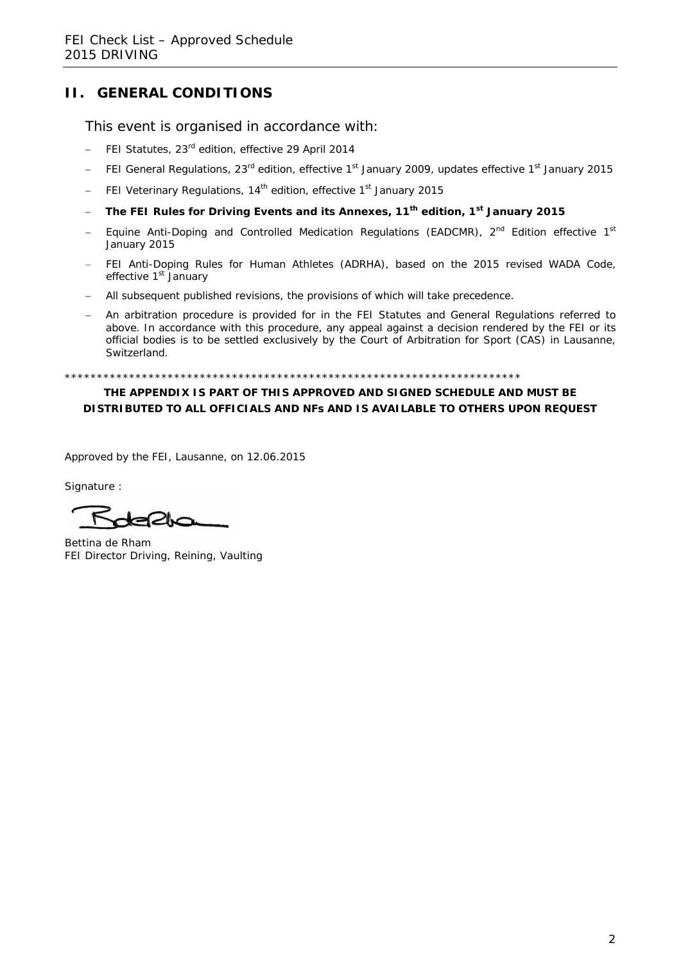## **II. GENERAL CONDITIONS**

This event is organised in accordance with:

- − FEI Statutes, 23rd edition, effective 29 April 2014
- − FEI General Regulations, 23<sup>rd</sup> edition, effective 1<sup>st</sup> January 2009, updates effective 1<sup>st</sup> January 2015
- − FEI Veterinary Regulations, 14th edition, effective 1st January 2015
- − **The FEI Rules for Driving Events and its Annexes, 11th edition, 1st January 2015**
- − Equine Anti-Doping and Controlled Medication Regulations (EADCMR)*,* 2nd Edition effective 1st January 2015
- FEI Anti-Doping Rules for Human Athletes (ADRHA), based on the 2015 revised WADA Code, effective 1<sup>st</sup> January
- − All subsequent published revisions, the provisions of which will take precedence.
- An arbitration procedure is provided for in the FEI Statutes and General Regulations referred to above. In accordance with this procedure, any appeal against a decision rendered by the FEI or its official bodies is to be settled exclusively by the Court of Arbitration for Sport (CAS) in Lausanne, Switzerland.

\*\*\*\*\*\*\*\*\*\*\*\*\*\*\*\*\*\*\*\*\*\*\*\*\*\*\*\*\*\*\*\*\*\*\*\*\*\*\*\*\*\*\*\*\*\*\*\*\*\*\*\*\*\*\*\*\*\*\*\*\*\*\*\*\*\*\*\*\*\*\*

#### **THE APPENDIX IS PART OF THIS APPROVED AND SIGNED SCHEDULE AND MUST BE DISTRIBUTED TO ALL OFFICIALS AND NFs AND IS AVAILABLE TO OTHERS UPON REQUEST**

Approved by the FEI, Lausanne, on 12.06.2015

Signature :

Bettina de Rham FEI Director Driving, Reining, Vaulting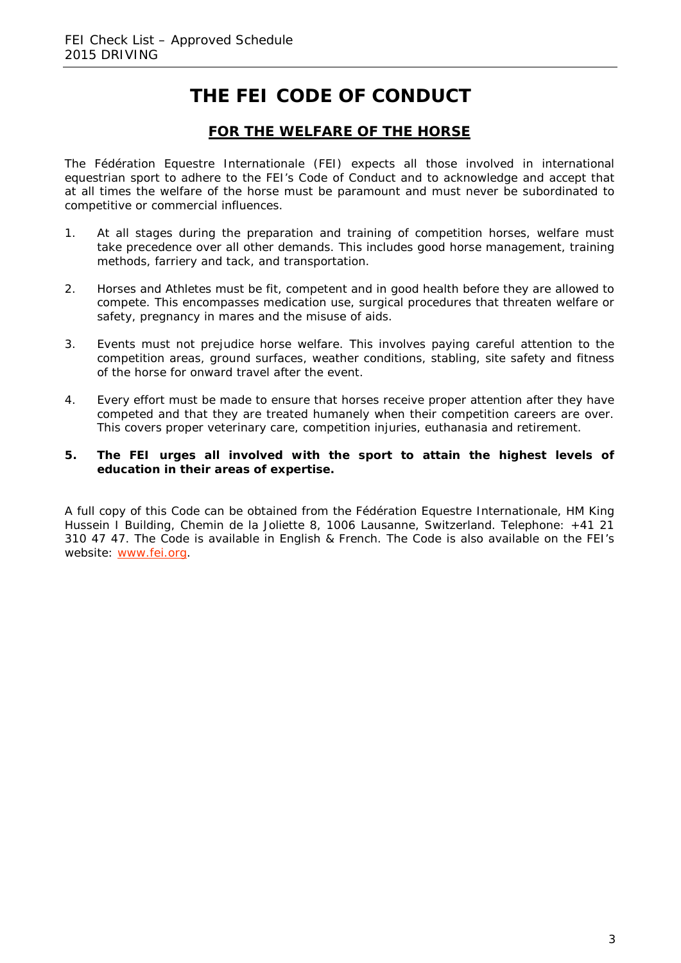# **THE FEI CODE OF CONDUCT**

## **FOR THE WELFARE OF THE HORSE**

The Fédération Equestre Internationale (FEI) expects all those involved in international equestrian sport to adhere to the FEI's Code of Conduct and to acknowledge and accept that at all times the welfare of the horse must be paramount and must never be subordinated to competitive or commercial influences.

- 1. At all stages during the preparation and training of competition horses, welfare must take precedence over all other demands. This includes good horse management, training methods, farriery and tack, and transportation.
- 2. Horses and Athletes must be fit, competent and in good health before they are allowed to compete. This encompasses medication use, surgical procedures that threaten welfare or safety, pregnancy in mares and the misuse of aids.
- 3. Events must not prejudice horse welfare. This involves paying careful attention to the competition areas, ground surfaces, weather conditions, stabling, site safety and fitness of the horse for onward travel after the event.
- 4. Every effort must be made to ensure that horses receive proper attention after they have competed and that they are treated humanely when their competition careers are over. This covers proper veterinary care, competition injuries, euthanasia and retirement.

#### **5. The FEI urges all involved with the sport to attain the highest levels of education in their areas of expertise.**

A full copy of this Code can be obtained from the Fédération Equestre Internationale, HM King Hussein I Building, Chemin de la Joliette 8, 1006 Lausanne, Switzerland. Telephone: +41 21 310 47 47. The Code is available in English & French. The Code is also available on the FEI's website: [www.fei.org.](http://www.fei.org/)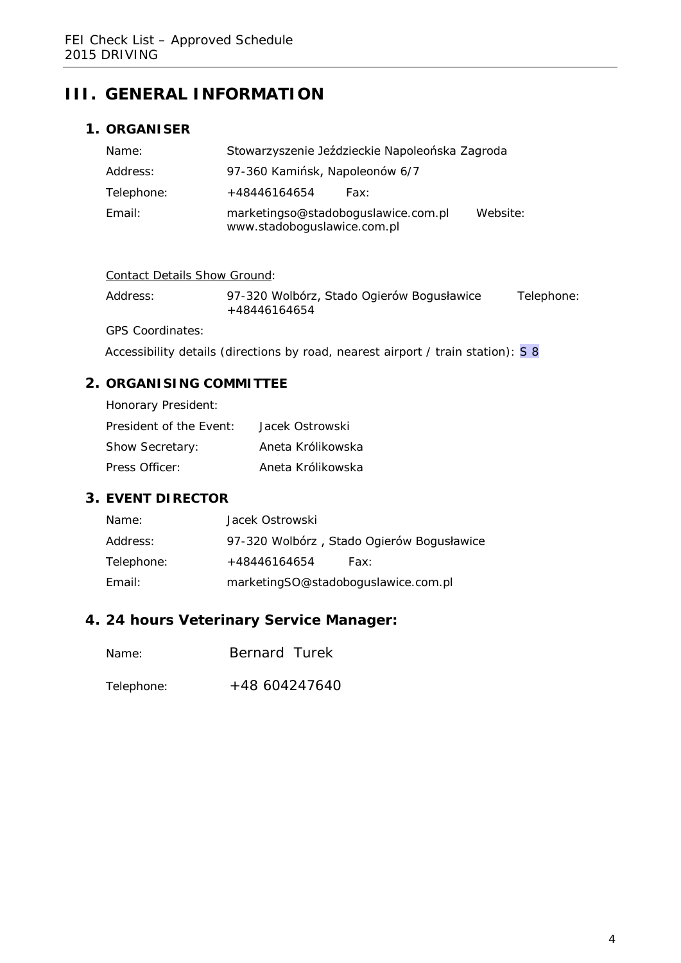# **III. GENERAL INFORMATION**

## **1. ORGANISER**

| Name:      | Stowarzyszenie Jeździeckie Napoleońska Zagroda                                 |  |  |  |
|------------|--------------------------------------------------------------------------------|--|--|--|
| Address:   | 97-360 Kamińsk, Napoleonów 6/7                                                 |  |  |  |
| Telephone: | +48446164654<br>Fax:                                                           |  |  |  |
| Email:     | marketingso@stadoboguslawice.com.pl<br>Website:<br>www.stadoboguslawice.com.pl |  |  |  |

| Contact Details Show Ground: |
|------------------------------|
|                              |

| Address: | 97-320 Wolbórz, Stado Ogierów Bogusławice | Telephone: |
|----------|-------------------------------------------|------------|
|          | +48446164654                              |            |

GPS Coordinates:

Accessibility details (directions by road, nearest airport / train station): S 8

## **2. ORGANISING COMMITTEE**

| Honorary President:     |                   |
|-------------------------|-------------------|
| President of the Event: | Jacek Ostrowski   |
| <b>Show Secretary:</b>  | Aneta Królikowska |
| Press Officer:          | Aneta Królikowska |

## **3. EVENT DIRECTOR**

| Name:      | Jacek Ostrowski                     |                                           |
|------------|-------------------------------------|-------------------------------------------|
| Address:   |                                     | 97-320 Wolbórz, Stado Ogierów Bogusławice |
| Telephone: | +48446164654                        | Fax:                                      |
| Email:     | marketingSO@stadoboguslawice.com.pl |                                           |

## **4. 24 hours Veterinary Service Manager:**

- Name: Bernard Turek
- Telephone: +48 604247640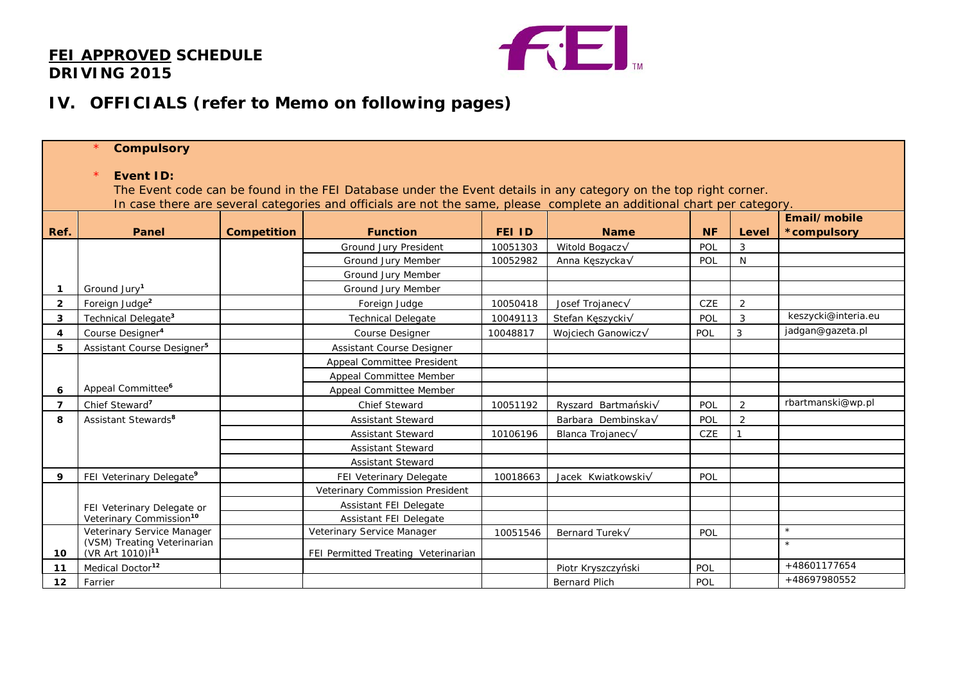## **FEI APPROVED SCHEDULE DRIVING 2015**



# **IV. OFFICIALS (refer to Memo on following pages)**

|                | $\star$<br><b>Compulsory</b>                                                                                                                                                                                                                                   |                    |                                     |               |                      |           |              |                             |
|----------------|----------------------------------------------------------------------------------------------------------------------------------------------------------------------------------------------------------------------------------------------------------------|--------------------|-------------------------------------|---------------|----------------------|-----------|--------------|-----------------------------|
|                | <b>Event ID:</b><br>The Event code can be found in the FEI Database under the Event details in any category on the top right corner.<br>In case there are several categories and officials are not the same, please complete an additional chart per category. |                    |                                     |               |                      |           |              |                             |
| Ref.           | Panel                                                                                                                                                                                                                                                          | <b>Competition</b> | <b>Function</b>                     | <b>FEI ID</b> | <b>Name</b>          | <b>NF</b> | Level        | Email/mobile<br>*compulsory |
|                |                                                                                                                                                                                                                                                                |                    | Ground Jury President               | 10051303      | Witold Bogacz√       | POL       | 3            |                             |
|                |                                                                                                                                                                                                                                                                |                    | Ground Jury Member                  | 10052982      | Anna Kęszycka√       | POL       | N            |                             |
|                |                                                                                                                                                                                                                                                                |                    | Ground Jury Member                  |               |                      |           |              |                             |
| $\mathbf 1$    | Ground Jury <sup>1</sup>                                                                                                                                                                                                                                       |                    | Ground Jury Member                  |               |                      |           |              |                             |
| $\overline{2}$ | Foreign Judge <sup>2</sup>                                                                                                                                                                                                                                     |                    | Foreign Judge                       | 10050418      | Josef Trojanec√      | CZE       | 2            |                             |
| 3              | Technical Delegate <sup>3</sup>                                                                                                                                                                                                                                |                    | <b>Technical Delegate</b>           | 10049113      | Stefan Kęszycki√     | POL       | 3            | keszycki@interia.eu         |
| 4              | Course Designer <sup>4</sup>                                                                                                                                                                                                                                   |                    | <b>Course Designer</b>              | 10048817      | Wojciech Ganowicz√   | POL       | $\mathbf{3}$ | jadgan@gazeta.pl            |
| 5              | Assistant Course Designer <sup>5</sup>                                                                                                                                                                                                                         |                    | <b>Assistant Course Designer</b>    |               |                      |           |              |                             |
|                |                                                                                                                                                                                                                                                                |                    | Appeal Committee President          |               |                      |           |              |                             |
|                |                                                                                                                                                                                                                                                                |                    | Appeal Committee Member             |               |                      |           |              |                             |
| 6              | Appeal Committee <sup>6</sup>                                                                                                                                                                                                                                  |                    | Appeal Committee Member             |               |                      |           |              |                             |
| $\overline{7}$ | Chief Steward <sup>7</sup>                                                                                                                                                                                                                                     |                    | <b>Chief Steward</b>                | 10051192      | Ryszard Bartmański√  | POL       | 2            | rbartmanski@wp.pl           |
| 8              | Assistant Stewards <sup>8</sup>                                                                                                                                                                                                                                |                    | <b>Assistant Steward</b>            |               | Barbara Dembinska√   | POL       | 2            |                             |
|                |                                                                                                                                                                                                                                                                |                    | <b>Assistant Steward</b>            | 10106196      | Blanca Trojanec√     | CZE       |              |                             |
|                |                                                                                                                                                                                                                                                                |                    | <b>Assistant Steward</b>            |               |                      |           |              |                             |
|                |                                                                                                                                                                                                                                                                |                    | <b>Assistant Steward</b>            |               |                      |           |              |                             |
| 9              | FEI Veterinary Delegate <sup>9</sup>                                                                                                                                                                                                                           |                    | FEI Veterinary Delegate             | 10018663      | Jacek Kwiatkowskiv   | POL       |              |                             |
|                |                                                                                                                                                                                                                                                                |                    | Veterinary Commission President     |               |                      |           |              |                             |
|                | FEI Veterinary Delegate or                                                                                                                                                                                                                                     |                    | <b>Assistant FEI Delegate</b>       |               |                      |           |              |                             |
|                | Veterinary Commission <sup>10</sup>                                                                                                                                                                                                                            |                    | Assistant FEI Delegate              |               |                      |           |              |                             |
|                | Veterinary Service Manager                                                                                                                                                                                                                                     |                    | Veterinary Service Manager          | 10051546      | Bernard Turek√       | POL       |              | $\star$                     |
| 10             | (VSM) Treating Veterinarian<br>(VR Art 1010) <sup>11</sup>                                                                                                                                                                                                     |                    | FEI Permitted Treating Veterinarian |               |                      |           |              | $\star$                     |
| 11             | Medical Doctor <sup>12</sup>                                                                                                                                                                                                                                   |                    |                                     |               | Piotr Kryszczyński   | POL       |              | +48601177654                |
| 12             | Farrier                                                                                                                                                                                                                                                        |                    |                                     |               | <b>Bernard Plich</b> | POL       |              | +48697980552                |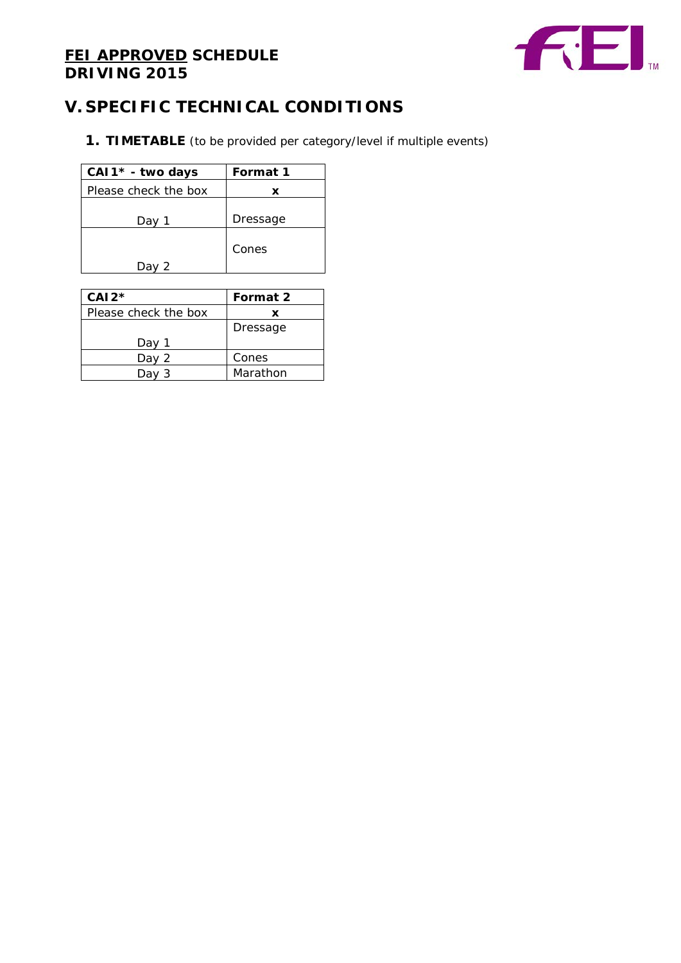# **FEI APPROVED SCHEDULE DRIVING 2015**



# **V. SPECIFIC TECHNICAL CONDITIONS**

**1. TIMETABLE** (to be provided per category/level if multiple events)

| CAI1* - two days     | Format 1 |
|----------------------|----------|
| Please check the box | x        |
| Day                  | Dressage |
|                      | Cones    |

| $CAI2*$              | Format 2 |
|----------------------|----------|
| Please check the box | x        |
|                      | Dressage |
| Dav                  |          |
| Day 2                | Cones    |
| Da<br>3              | Marathon |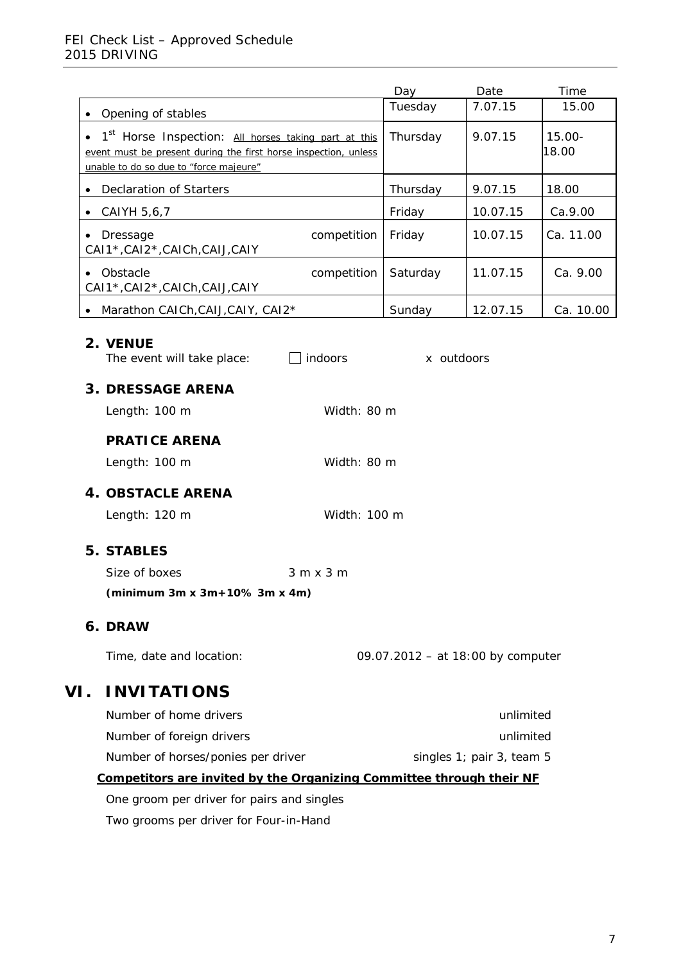### FEI Check List – Approved Schedule 2015 DRIVING

|                                                                                                                                     |              | Day                               | Date                      | Time               |
|-------------------------------------------------------------------------------------------------------------------------------------|--------------|-----------------------------------|---------------------------|--------------------|
| Opening of stables<br>$\bullet$                                                                                                     |              | Tuesday                           | 7.07.15                   | 15.00              |
| 1 <sup>st</sup> Horse Inspection: All horses taking part at this<br>event must be present during the first horse inspection, unless |              | Thursday                          | 9.07.15                   | $15.00 -$<br>18.00 |
| unable to do so due to "force majeure"                                                                                              |              |                                   |                           |                    |
| <b>Declaration of Starters</b>                                                                                                      |              | Thursday                          | 9.07.15                   | 18.00              |
| CAIYH 5,6,7<br>٠                                                                                                                    |              | Friday                            | 10.07.15                  | Ca.9.00            |
| Dressage<br>$\bullet$<br>CAI1*, CAI2*, CAICh, CAIJ, CAIY                                                                            | competition  | Friday                            | 10.07.15                  | Ca. 11.00          |
| Obstacle<br>CAI1*, CAI2*, CAICh, CAIJ, CAIY                                                                                         | competition  | Saturday                          | 11.07.15                  | Ca. 9.00           |
| Marathon CAICh, CAIJ, CAIY, CAI2*                                                                                                   |              | Sunday                            | 12.07.15                  | Ca. 10.00          |
| 2. VENUE<br>indoors<br>The event will take place:                                                                                   |              | x outdoors                        |                           |                    |
| <b>3. DRESSAGE ARENA</b>                                                                                                            |              |                                   |                           |                    |
| Length: 100 m                                                                                                                       | Width: 80 m  |                                   |                           |                    |
| <b>PRATICE ARENA</b>                                                                                                                |              |                                   |                           |                    |
| Length: 100 m                                                                                                                       | Width: 80 m  |                                   |                           |                    |
| <b>4. OBSTACLE ARENA</b>                                                                                                            |              |                                   |                           |                    |
| Length: 120 m                                                                                                                       | Width: 100 m |                                   |                           |                    |
| <b>5. STABLES</b>                                                                                                                   |              |                                   |                           |                    |
| Size of boxes<br>3 m x 3 m                                                                                                          |              |                                   |                           |                    |
| (minimum $3m \times 3m+10\%$ 3m x 4m)                                                                                               |              |                                   |                           |                    |
| 6. DRAW                                                                                                                             |              |                                   |                           |                    |
| Time, date and location:                                                                                                            |              | 09.07.2012 - at 18:00 by computer |                           |                    |
| <b>INVITATIONS</b><br>VI.                                                                                                           |              |                                   |                           |                    |
| Number of home drivers                                                                                                              |              |                                   | unlimited                 |                    |
| Number of foreign drivers                                                                                                           |              |                                   | unlimited                 |                    |
| Number of horses/ponies per driver                                                                                                  |              |                                   | singles 1; pair 3, team 5 |                    |
| Competitors are invited by the Organizing Committee through their NF                                                                |              |                                   |                           |                    |

One groom per driver for pairs and singles

Two grooms per driver for Four-in-Hand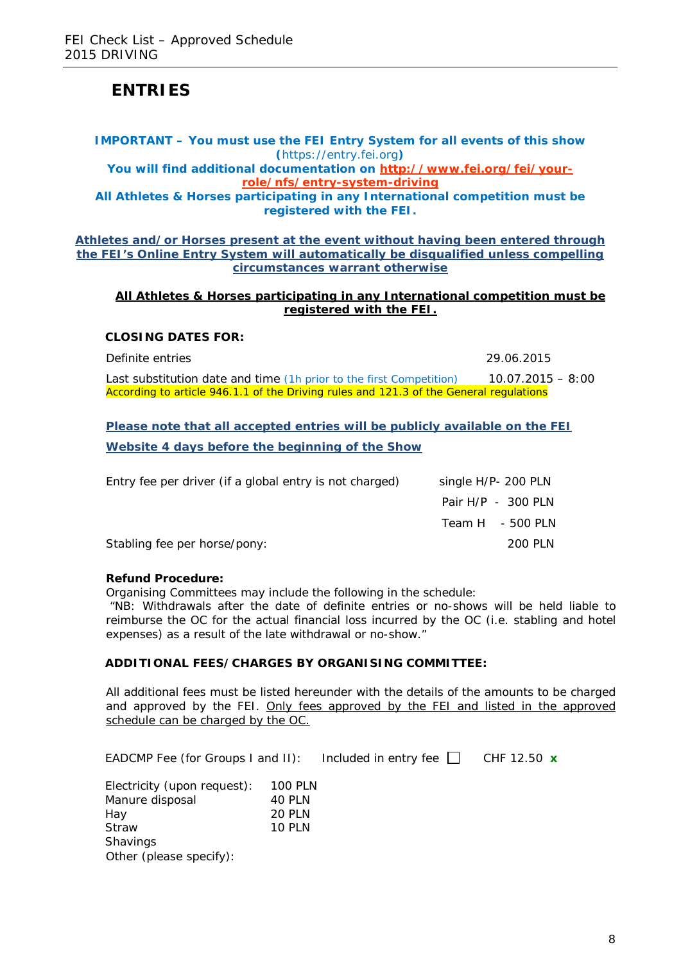# **ENTRIES**

#### **IMPORTANT – You must use the FEI Entry System for all events of this show (**https://entry.fei.org**) You will find additional documentation on [http://www.fei.org/fei/your](http://www.fei.org/fei/your-role/nfs/entry-system-driving)[role/nfs/entry-system-driving](http://www.fei.org/fei/your-role/nfs/entry-system-driving) All Athletes & Horses participating in any International competition must be registered with the FEI.**

**Athletes and/or Horses present at the event without having been entered through the FEI's Online Entry System will automatically be disqualified unless compelling circumstances warrant otherwise**

#### **All Athletes & Horses participating in any International competition must be registered with the FEI.**

#### **CLOSING DATES FOR:**

Definite entries 29.06.2015

Last substitution date and time (1h prior to the first Competition)  $10.07.2015 - 8:00$ *According to article 946.1.1 of the Driving rules and 121.3 of the General regulations*

**Please note that all accepted entries will be publicly available on the FEI Website 4 days before the beginning of the Show**

| Entry fee per driver (if a global entry is not charged) | single H/P- 200 PLN  |
|---------------------------------------------------------|----------------------|
|                                                         | Pair $H/P - 300$ PLN |
|                                                         | Team H $-500$ PLN    |
| Stabling fee per horse/pony:                            | 200 PLN              |

#### **Refund Procedure:**

Organising Committees may include the following in the schedule:

"NB: Withdrawals after the date of definite entries or no-shows will be held liable to reimburse the OC for the actual financial loss incurred by the OC (i.e. stabling and hotel expenses) as a result of the late withdrawal or no-show."

#### **ADDITIONAL FEES/CHARGES BY ORGANISING COMMITTEE:**

All additional fees must be listed hereunder with the details of the amounts to be charged and approved by the FEI. Only fees approved by the FEI and listed in the approved schedule can be charged by the OC.

| EADCMP Fee (for Groups I and II): | Included in entry fee $\Box$ CHF 12.50 $\bm{x}$ |  |
|-----------------------------------|-------------------------------------------------|--|
|-----------------------------------|-------------------------------------------------|--|

| Electricity (upon request): | <b>100 PLN</b> |
|-----------------------------|----------------|
| Manure disposal             | 40 PLN         |
| Hay                         | <b>20 PLN</b>  |
| <b>Straw</b>                | <b>10 PLN</b>  |
| <b>Shavings</b>             |                |
| Other (please specify):     |                |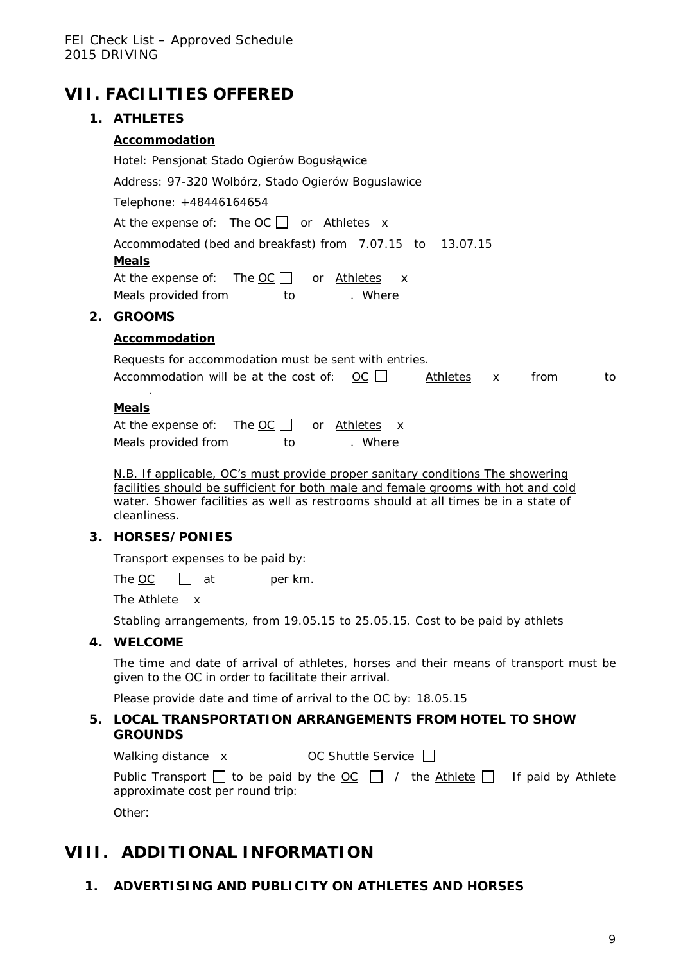|    | <b>VII. FACILITIES OFFERED</b>                                                                   |
|----|--------------------------------------------------------------------------------------------------|
|    | 1. ATHLETES                                                                                      |
|    | Accommodation                                                                                    |
|    | Hotel: Pensjonat Stado Ogierów Bogusłąwice                                                       |
|    | Address: 97-320 Wolbórz, Stado Ogierów Boguslawice                                               |
|    | Telephone: +48446164654                                                                          |
|    | At the expense of: The OC $\Box$ or Athletes x                                                   |
|    | Accommodated (bed and breakfast) from 7.07.15 to 13.07.15                                        |
|    | <b>Meals</b>                                                                                     |
|    | At the expense of: The $OC \cup$ or Athletes<br>$\mathsf{X}$                                     |
|    | Meals provided from to<br>. Where                                                                |
| 2. | <b>GROOMS</b>                                                                                    |
|    | Accommodation                                                                                    |
|    | Requests for accommodation must be sent with entries.                                            |
|    | Accommodation will be at the cost of: $OC \Box$<br>from<br><u>Athletes</u><br>to<br>$\mathsf{x}$ |
|    |                                                                                                  |
|    | <b>Meals</b>                                                                                     |
|    | At the expense of: The $OC$ or Athletes<br>$\mathsf{X}$                                          |
|    | Meals provided from<br>. Where<br>to                                                             |
|    | N.B. If applicable, OC's must provide proper sanitary conditions The showering                   |
|    | facilities should be sufficient for both male and female grooms with hot and cold                |

facilities should be sufficient for both male and female grooms with hot and cold water. Shower facilities as well as restrooms should at all times be in a state of cleanliness.

## **3. HORSES/PONIES**

Transport expenses to be paid by:

The  $\underline{OC}$  at per km.

The Athlete x

Stabling arrangements, from 19.05.15 to 25.05.15. Cost to be paid by athlets

#### **4. WELCOME**

The time and date of arrival of athletes, horses and their means of transport must be given to the OC in order to facilitate their arrival.

Please provide date and time of arrival to the OC by: 18.05.15

#### **5. LOCAL TRANSPORTATION ARRANGEMENTS FROM HOTEL TO SHOW GROUNDS**

Walking distance x OC Shuttle Service  $\Box$ 

| Public Transport $\Box$ to be paid by the $\underline{OC} \Box$ / the Athlete $\Box$ If paid by Athlete |  |  |
|---------------------------------------------------------------------------------------------------------|--|--|
| approximate cost per round trip:                                                                        |  |  |

Other:

# **VIII. ADDITIONAL INFORMATION**

**1. ADVERTISING AND PUBLICITY ON ATHLETES AND HORSES**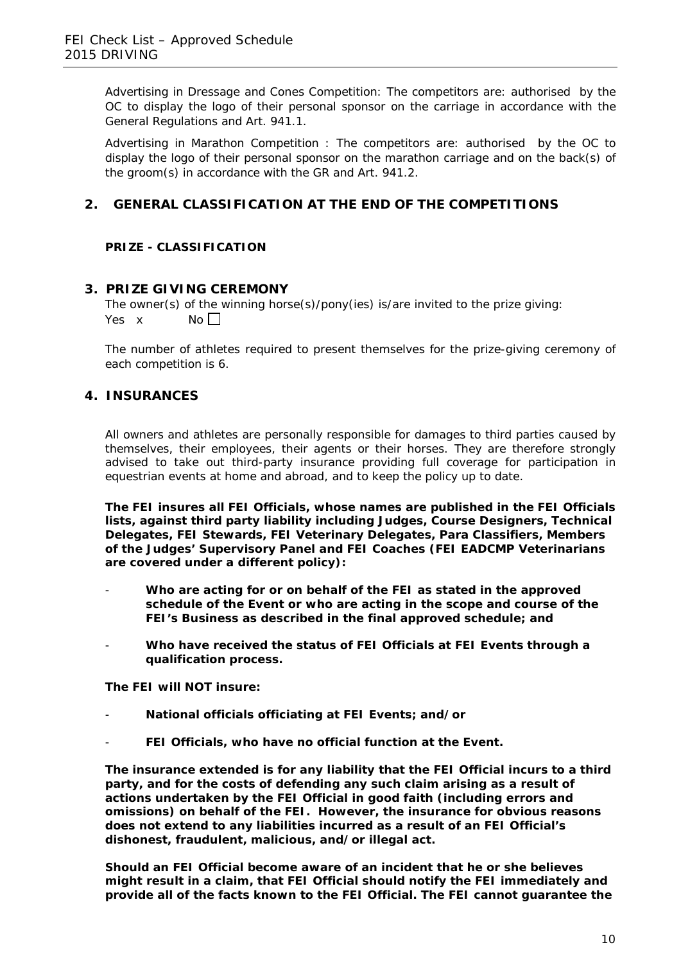Advertising in Dressage and Cones Competition: The competitors are: authorised by the OC to display the logo of their personal sponsor on the carriage in accordance with the General Regulations and Art. 941.1.

Advertising in Marathon Competition : The competitors are: authorised by the OC to display the logo of their personal sponsor on the marathon carriage and on the back(s) of the groom(s) in accordance with the GR and Art. 941.2.

## **2. GENERAL CLASSIFICATION AT THE END OF THE COMPETITIONS**

#### **PRIZE - CLASSIFICATION**

#### **3. PRIZE GIVING CEREMONY**

The owner(s) of the winning horse(s)/pony(ies) is/are invited to the prize giving: Yes  $x$  No  $\Box$ 

The number of athletes required to present themselves for the prize-giving ceremony of each competition is 6.

### **4. INSURANCES**

All owners and athletes are personally responsible for damages to third parties caused by themselves, their employees, their agents or their horses. They are therefore strongly advised to take out third-party insurance providing full coverage for participation in equestrian events at home and abroad, and to keep the policy up to date.

**The FEI insures all FEI Officials, whose names are published in the FEI Officials lists, against third party liability including Judges, Course Designers, Technical Delegates, FEI Stewards, FEI Veterinary Delegates, Para Classifiers, Members of the Judges' Supervisory Panel and FEI Coaches (FEI EADCMP Veterinarians are covered under a different policy):**

- **Who are acting for or on behalf of the FEI as stated in the approved schedule of the Event or who are acting in the scope and course of the FEI's Business as described in the final approved schedule; and**
- **Who have received the status of FEI Officials at FEI Events through a qualification process.**

**The FEI will NOT insure:**

- **National officials officiating at FEI Events; and/or**
- FEI Officials, who have no official function at the Event.

**The insurance extended is for any liability that the FEI Official incurs to a third party, and for the costs of defending any such claim arising as a result of actions undertaken by the FEI Official in good faith (including errors and omissions) on behalf of the FEI. However, the insurance for obvious reasons does not extend to any liabilities incurred as a result of an FEI Official's dishonest, fraudulent, malicious, and/or illegal act.**

**Should an FEI Official become aware of an incident that he or she believes might result in a claim, that FEI Official should notify the FEI immediately and provide all of the facts known to the FEI Official. The FEI cannot guarantee the**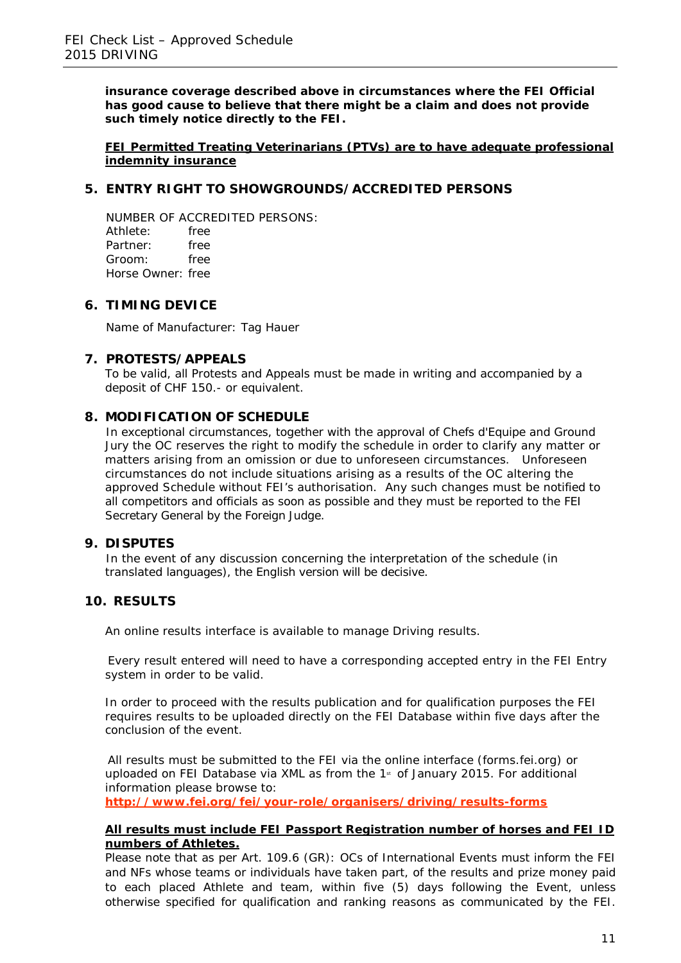**insurance coverage described above in circumstances where the FEI Official has good cause to believe that there might be a claim and does not provide such timely notice directly to the FEI.**

**FEI Permitted Treating Veterinarians (PTVs) are to have adequate professional indemnity insurance**

### **5. ENTRY RIGHT TO SHOWGROUNDS/ACCREDITED PERSONS**

NUMBER OF ACCREDITED PERSONS: Athlete: free<br>Partner: free Partner: Groom: free Horse Owner: free

#### **6. TIMING DEVICE**

Name of Manufacturer: Tag Hauer

#### **7. PROTESTS/APPEALS**

To be valid, all Protests and Appeals must be made in writing and accompanied by a deposit of CHF 150.- or equivalent.

#### **8. MODIFICATION OF SCHEDULE**

In exceptional circumstances, together with the approval of Chefs d'Equipe and Ground Jury the OC reserves the right to modify the schedule in order to clarify any matter or matters arising from an omission or due to unforeseen circumstances. Unforeseen circumstances do not include situations arising as a results of the OC altering the approved Schedule without FEI's authorisation. Any such changes must be notified to all competitors and officials as soon as possible and they must be reported to the FEI Secretary General by the Foreign Judge.

#### **9. DISPUTES**

In the event of any discussion concerning the interpretation of the schedule (in translated languages), the English version will be decisive.

#### **10. RESULTS**

An online results interface is available to manage Driving results.

Every result entered will need to have a corresponding accepted entry in the FEI Entry system in order to be valid.

In order to proceed with the results publication and for qualification purposes the FEI requires results to be uploaded directly on the FEI Database within five days after the conclusion of the event.

All results must be submitted to the FEI via the online interface (forms.fei.org) or uploaded on FEI Database via XML as from the  $1$ <sup>st</sup> of January 2015. For additional information please browse to:

**<http://www.fei.org/fei/your-role/organisers/driving/results-forms>**

#### **All results must include FEI Passport Registration number of horses and FEI ID numbers of Athletes.**

Please note that as per Art. 109.6 (GR): OCs of International Events must inform the FEI and NFs whose teams or individuals have taken part, of the results and prize money paid to each placed Athlete and team, within five (5) days following the Event, unless otherwise specified for qualification and ranking reasons as communicated by the FEI.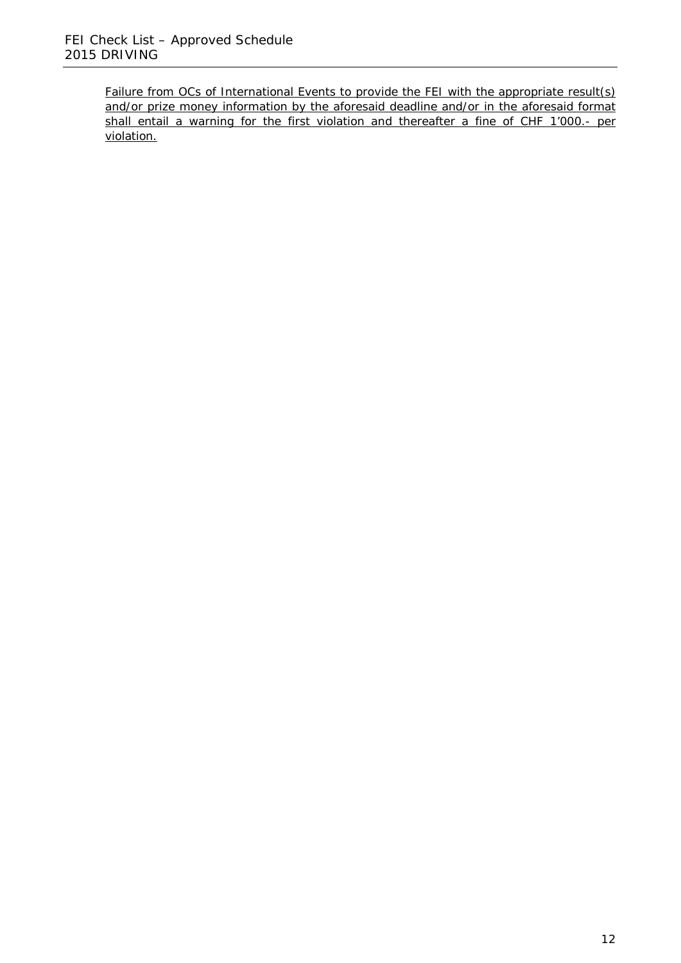Failure from OCs of International Events to provide the FEI with the appropriate result(s) and/or prize money information by the aforesaid deadline and/or in the aforesaid format shall entail a warning for the first violation and thereafter a fine of CHF 1'000.- per violation.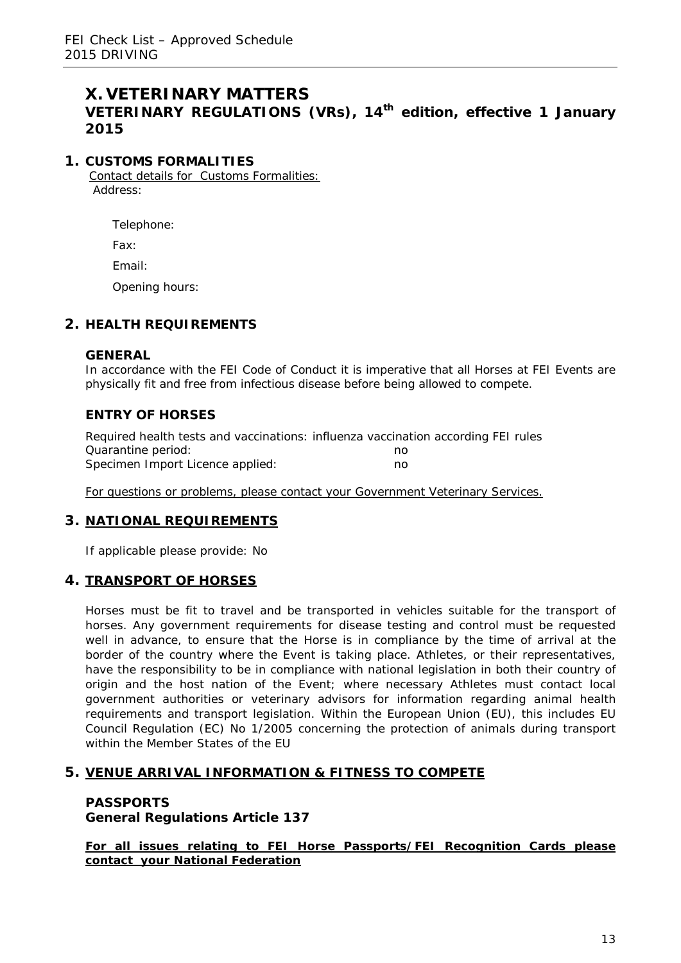## **X. VETERINARY MATTERS VETERINARY REGULATIONS (VRs), 14th edition, effective 1 January 2015**

### **1. CUSTOMS FORMALITIES**

Contact details for Customs Formalities: Address:

Telephone:

Fax:

Email:

Opening hours:

## **2. HEALTH REQUIREMENTS**

#### **GENERAL**

In accordance with the FEI Code of Conduct it is imperative that all Horses at FEI Events are physically fit and free from infectious disease before being allowed to compete.

### **ENTRY OF HORSES**

| Required health tests and vaccinations: influenza vaccination according FEI rules |    |  |
|-----------------------------------------------------------------------------------|----|--|
| Quarantine period:                                                                | no |  |
| Specimen Import Licence applied:                                                  | no |  |

For questions or problems, please contact your Government Veterinary Services.

#### **3. NATIONAL REQUIREMENTS**

If applicable please provide: No

#### **4. TRANSPORT OF HORSES**

Horses must be fit to travel and be transported in vehicles suitable for the transport of horses. Any government requirements for disease testing and control must be requested well in advance, to ensure that the Horse is in compliance by the time of arrival at the border of the country where the Event is taking place. Athletes, or their representatives, have the responsibility to be in compliance with national legislation in both their country of origin and the host nation of the Event; where necessary Athletes must contact local government authorities or veterinary advisors for information regarding animal health requirements and transport legislation. Within the European Union (EU), this includes EU Council Regulation (EC) No 1/2005 concerning the protection of animals during transport within the Member States of the EU

#### **5. VENUE ARRIVAL INFORMATION & FITNESS TO COMPETE**

### **PASSPORTS General Regulations Article 137**

**For all issues relating to FEI Horse Passports/FEI Recognition Cards please contact your National Federation**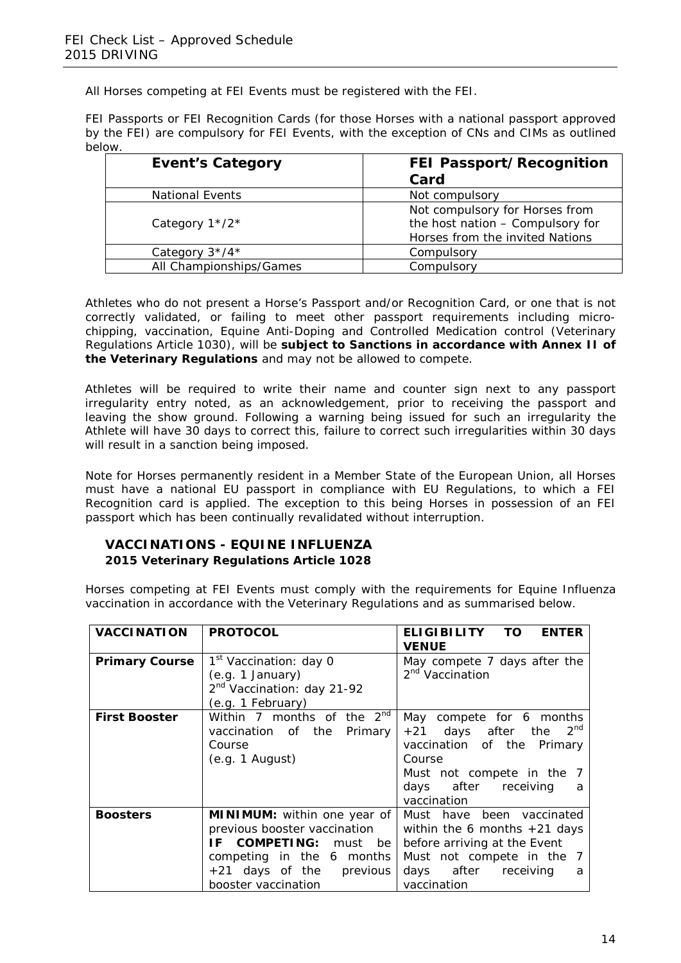All Horses competing at FEI Events must be registered with the FEI.

FEI Passports or FEI Recognition Cards (for those Horses with a national passport approved by the FEI) are compulsory for FEI Events, with the exception of CNs and CIMs as outlined below.

| <b>Event's Category</b> | <b>FEI Passport/Recognition</b>  |
|-------------------------|----------------------------------|
|                         | Card                             |
| <b>National Events</b>  | Not compulsory                   |
|                         | Not compulsory for Horses from   |
| Category $1*/2*$        | the host nation - Compulsory for |
|                         | Horses from the invited Nations  |
| Category $3*/4*$        | Compulsory                       |
| All Championships/Games | Compulsory                       |

Athletes who do not present a Horse's Passport and/or Recognition Card, or one that is not correctly validated, or failing to meet other passport requirements including microchipping, vaccination, Equine Anti-Doping and Controlled Medication control (Veterinary Regulations Article 1030), will be **subject to Sanctions in accordance with Annex II of the Veterinary Regulations** and may not be allowed to compete.

Athletes will be required to write their name and counter sign next to any passport irregularity entry noted, as an acknowledgement, prior to receiving the passport and leaving the show ground. Following a warning being issued for such an irregularity the Athlete will have 30 days to correct this, failure to correct such irregularities within 30 days will result in a sanction being imposed.

Note for Horses permanently resident in a Member State of the European Union, all Horses must have a national EU passport in compliance with EU Regulations, to which a FEI Recognition card is applied. The exception to this being Horses in possession of an FEI passport which has been continually revalidated without interruption.

#### **VACCINATIONS - EQUINE INFLUENZA 2015 Veterinary Regulations Article 1028**

Horses competing at FEI Events must comply with the requirements for Equine Influenza vaccination in accordance with the Veterinary Regulations and as summarised below.

| <b>VACCINATION</b>    | <b>PROTOCOL</b>                                                                                                                                                             | <b>ELIGIBILITY</b><br>TO.<br><b>ENTER</b><br><b>VENUE</b>                                                                                                                      |
|-----------------------|-----------------------------------------------------------------------------------------------------------------------------------------------------------------------------|--------------------------------------------------------------------------------------------------------------------------------------------------------------------------------|
| <b>Primary Course</b> | 1 <sup>st</sup> Vaccination: day 0<br>(e.g. 1 January)<br>2 <sup>nd</sup> Vaccination: day 21-92<br>(e.g. 1 February)                                                       | May compete 7 days after the<br>2 <sup>nd</sup> Vaccination                                                                                                                    |
| <b>First Booster</b>  | Within 7 months of the $2^{nd}$<br>vaccination of the<br>Primary<br>Course<br>(e.g. 1 August)                                                                               | May<br>compete for 6 months<br>$2^{nd}$<br>+21 days after the<br>vaccination of the Primary<br>Course<br>Must not compete in the 7<br>days after receiving<br>a<br>vaccination |
| <b>Boosters</b>       | <b>MINIMUM:</b> within one year of<br>previous booster vaccination<br>IF COMPETING: must be<br>competing in the 6 months<br>+21 days of the previous<br>booster vaccination | Must have been vaccinated<br>within the 6 months $+21$ days<br>before arriving at the Event<br>Must not compete in the 7<br>days after receiving<br>a<br>vaccination           |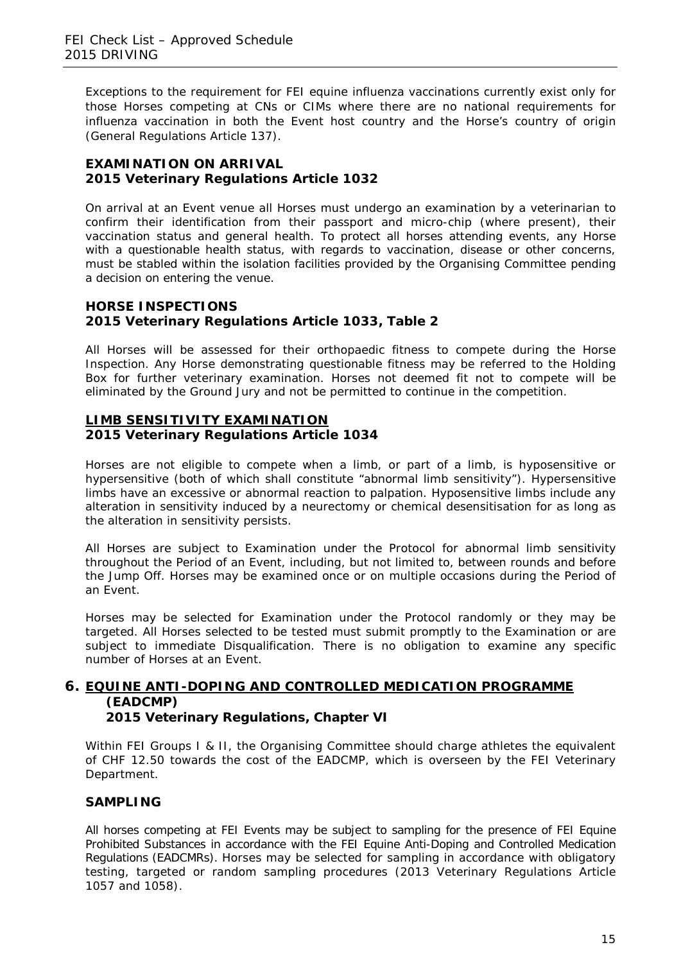Exceptions to the requirement for FEI equine influenza vaccinations currently exist only for those Horses competing at CNs or CIMs where there are no national requirements for influenza vaccination in both the Event host country and the Horse's country of origin (General Regulations Article 137).

### **EXAMINATION ON ARRIVAL 2015 Veterinary Regulations Article 1032**

On arrival at an Event venue all Horses must undergo an examination by a veterinarian to confirm their identification from their passport and micro-chip (where present), their vaccination status and general health. To protect all horses attending events, any Horse with a questionable health status, with regards to vaccination, disease or other concerns, must be stabled within the isolation facilities provided by the Organising Committee pending a decision on entering the venue.

#### **HORSE INSPECTIONS 2015 Veterinary Regulations Article 1033, Table 2**

All Horses will be assessed for their orthopaedic fitness to compete during the Horse Inspection. Any Horse demonstrating questionable fitness may be referred to the Holding Box for further veterinary examination. Horses not deemed fit not to compete will be eliminated by the Ground Jury and not be permitted to continue in the competition.

### **LIMB SENSITIVITY EXAMINATION 2015 Veterinary Regulations Article 1034**

Horses are not eligible to compete when a limb, or part of a limb, is hyposensitive or hypersensitive (both of which shall constitute "abnormal limb sensitivity"). Hypersensitive limbs have an excessive or abnormal reaction to palpation. Hyposensitive limbs include any alteration in sensitivity induced by a neurectomy or chemical desensitisation for as long as the alteration in sensitivity persists.

All Horses are subject to Examination under the Protocol for abnormal limb sensitivity throughout the Period of an Event, including, but not limited to, between rounds and before the Jump Off. Horses may be examined once or on multiple occasions during the Period of an Event.

Horses may be selected for Examination under the Protocol randomly or they may be targeted. All Horses selected to be tested must submit promptly to the Examination or are subject to immediate Disqualification. There is no obligation to examine any specific number of Horses at an Event.

#### **6. EQUINE ANTI-DOPING AND CONTROLLED MEDICATION PROGRAMME (EADCMP) 2015 Veterinary Regulations, Chapter VI**

Within FEI Groups I & II, the Organising Committee should charge athletes the equivalent of CHF 12.50 towards the cost of the EADCMP, which is overseen by the FEI Veterinary Department.

## **SAMPLING**

All horses competing at FEI Events may be subject to sampling for the presence of FEI Equine Prohibited Substances in accordance with the FEI Equine Anti-Doping and Controlled Medication Regulations (EADCMRs). Horses may be selected for sampling in accordance with obligatory testing, targeted or random sampling procedures (2013 Veterinary Regulations Article 1057 and 1058).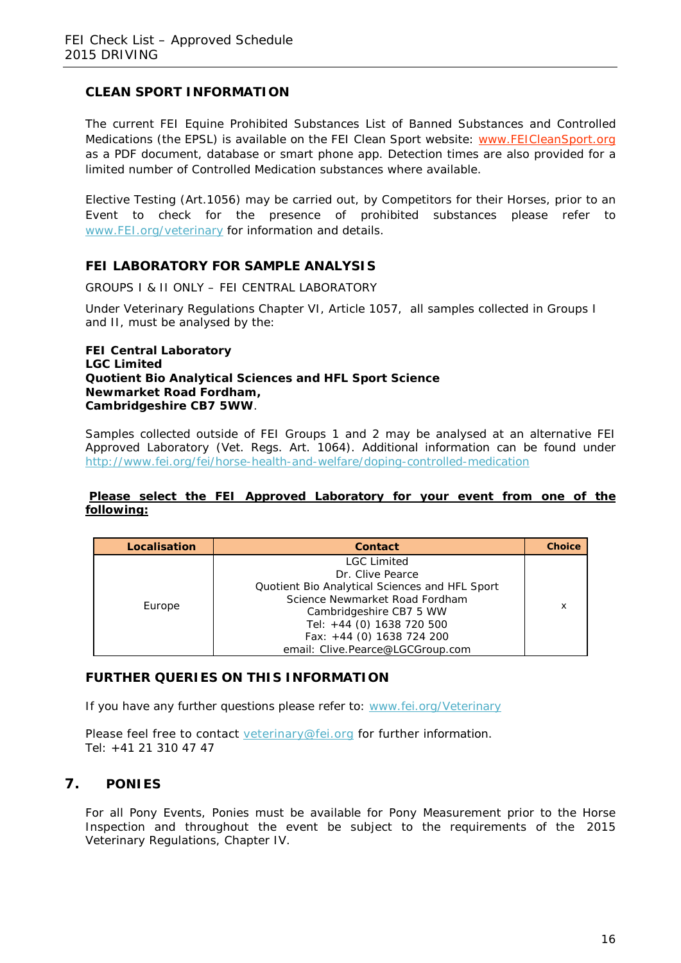### **CLEAN SPORT INFORMATION**

The current FEI Equine Prohibited Substances List of Banned Substances and Controlled Medications (the EPSL) is available on the FEI Clean Sport website: [www.FEICleanSport.org](http://www.feicleansport.org/) as a PDF document, database or smart phone app. Detection times are also provided for a limited number of Controlled Medication substances where available.

Elective Testing (Art.1056) may be carried out, by Competitors for their Horses, prior to an Event to check for the presence of prohibited substances please refer to [www.FEI.org/veterinary](http://www.fei.org/veterinary) for information and details.

### **FEI LABORATORY FOR SAMPLE ANALYSIS**

GROUPS I & II ONLY – FEI CENTRAL LABORATORY

Under Veterinary Regulations Chapter VI, Article 1057, all samples collected in Groups I and II, must be analysed by the:

**FEI Central Laboratory LGC Limited Quotient Bio Analytical Sciences and HFL Sport Science Newmarket Road Fordham, Cambridgeshire CB7 5WW**.

Samples collected outside of FEI Groups 1 and 2 may be analysed at an alternative FEI Approved Laboratory (Vet. Regs. Art. 1064). Additional information can be found under <http://www.fei.org/fei/horse-health-and-welfare/doping-controlled-medication>

#### **Please select the FEI Approved Laboratory for your event from one of the following:**

| Localisation | Contact                                                                                                                                               | <b>Choice</b> |
|--------------|-------------------------------------------------------------------------------------------------------------------------------------------------------|---------------|
| Europe       | <b>LGC Limited</b><br>Dr. Clive Pearce<br>Quotient Bio Analytical Sciences and HFL Sport<br>Science Newmarket Road Fordham<br>Cambridgeshire CB7 5 WW | х             |
|              | Tel: +44 (0) 1638 720 500<br>Fax: +44 (0) 1638 724 200                                                                                                |               |
|              | email: Clive.Pearce@LGCGroup.com                                                                                                                      |               |

#### **FURTHER QUERIES ON THIS INFORMATION**

If you have any further questions please refer to: www.fei.org/Veterinary

Please feel free to contact veterinary@fei.org for further information. Tel: +41 21 310 47 47

#### **7. PONIES**

For all Pony Events, Ponies must be available for Pony Measurement prior to the Horse Inspection and throughout the event be subject to the requirements of the 2015 Veterinary Regulations, Chapter IV.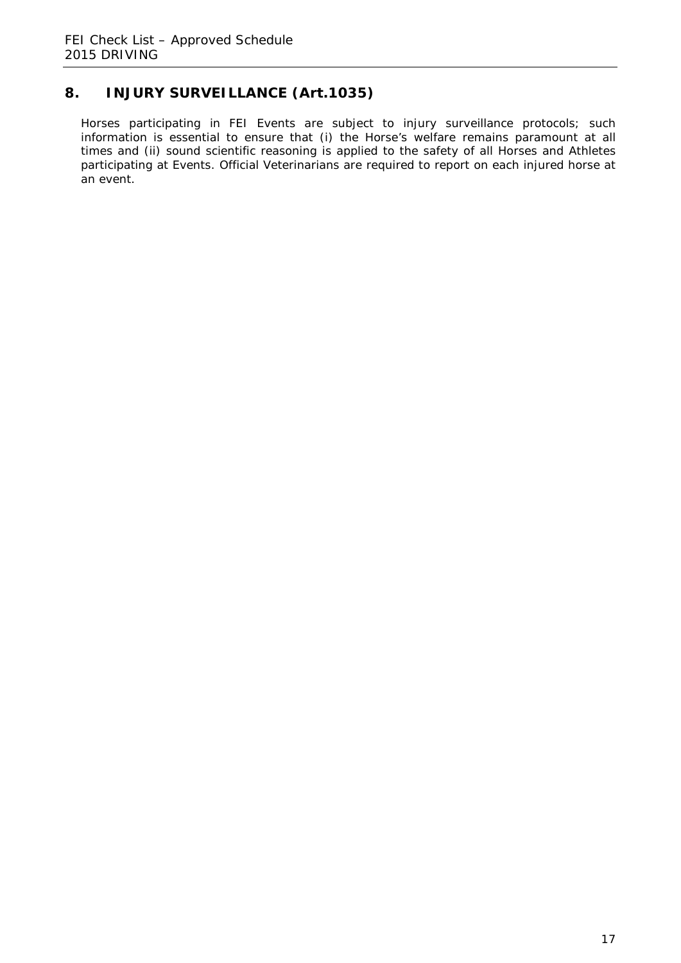# **8. INJURY SURVEILLANCE (Art.1035)**

Horses participating in FEI Events are subject to injury surveillance protocols; such information is essential to ensure that (i) the Horse's welfare remains paramount at all times and (ii) sound scientific reasoning is applied to the safety of all Horses and Athletes participating at Events. Official Veterinarians are required to report on each injured horse at an event.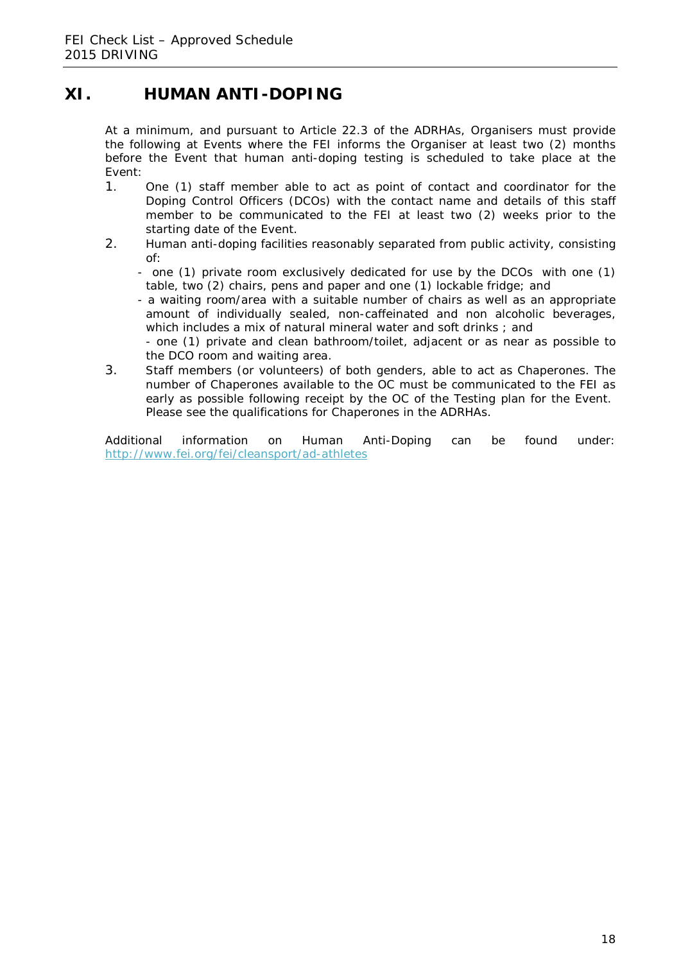# **XI. HUMAN ANTI-DOPING**

At a minimum, and pursuant to Article 22.3 of the ADRHAs, Organisers must provide the following at Events where the FEI informs the Organiser at least two (2) months before the Event that human anti-doping testing is scheduled to take place at the Event:

- 1. One (1) staff member able to act as point of contact and coordinator for the *Doping Control Officers* (*DCOs*) with the contact name and details of this staff member to be communicated to the *FEI* at least two (2) weeks prior to the starting date of the *Event.*
- 2. Human anti-doping facilities reasonably separated from public activity, consisting of:
	- one (1) private room exclusively dedicated for use by the *DCOs* with one (1) table, two (2) chairs, pens and paper and one (1) lockable fridge; and
	- a waiting room/area with a suitable number of chairs as well as an appropriate amount of individually sealed, non-caffeinated and non alcoholic beverages, which includes a mix of natural mineral water and soft drinks ; and - one (1) private and clean bathroom/toilet, adjacent or as near as possible to
	- the *DCO* room and waiting area.
- 3. Staff members (or volunteers) of both genders, able to act as *Chaperones*. The number of *Chaperones* available to the *OC* must be communicated to the *FEI* as early as possible following receipt by the *OC* of the *Testing* plan for the *Event*. Please see the qualifications for Chaperones in the ADRHAs.

Additional information on Human Anti-Doping can be found under: <http://www.fei.org/fei/cleansport/ad-athletes>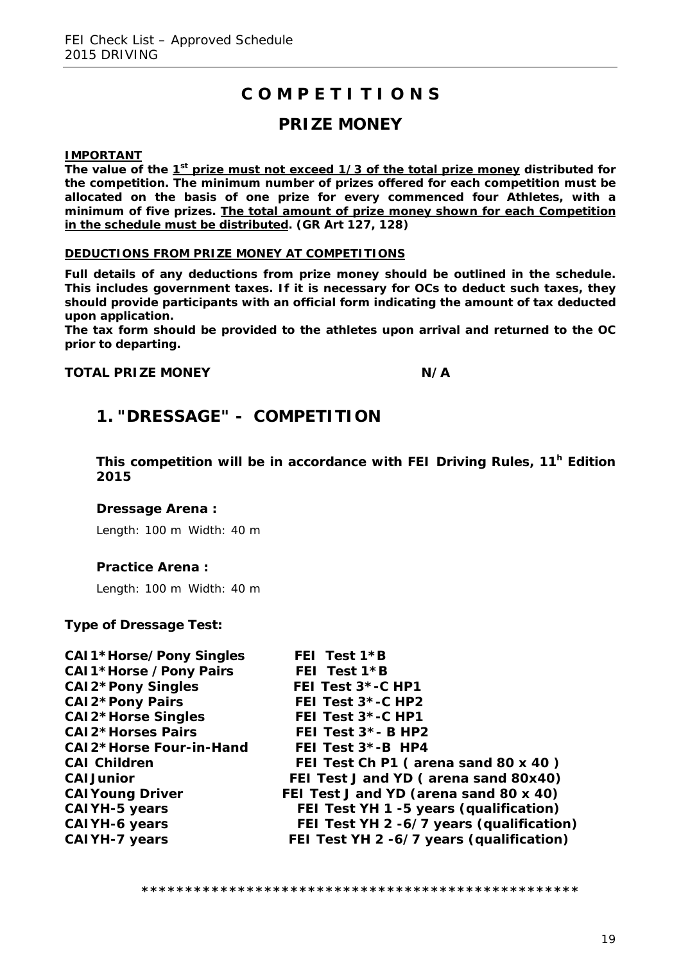# **C O M P E T I T I O N S**

# **PRIZE MONEY**

**IMPORTANT**

The value of the 1<sup>st</sup> prize must not exceed 1/3 of the total prize money distributed for **the competition. The minimum number of prizes offered for each competition must be allocated on the basis of one prize for every commenced four Athletes, with a minimum of five prizes. The total amount of prize money shown for each Competition in the schedule must be distributed. (GR Art 127, 128)**

#### **DEDUCTIONS FROM PRIZE MONEY AT COMPETITIONS**

**Full details of any deductions from prize money should be outlined in the schedule. This includes government taxes. If it is necessary for OCs to deduct such taxes, they should provide participants with an official form indicating the amount of tax deducted upon application.** 

**The tax form should be provided to the athletes upon arrival and returned to the OC prior to departing.**

#### **TOTAL PRIZE MONEY N/A**

# **1. "DRESSAGE" - COMPETITION**

**This competition will be in accordance with FEI Driving Rules, 11h Edition 2015**

#### **Dressage Arena :**

Length: 100 m Width: 40 m

#### **Practice Arena :**

Length: 100 m Width: 40 m

#### **Type of Dressage Test:**

| <b>CAI1*Horse/Pony Singles</b> | FEI Test 1*B                             |
|--------------------------------|------------------------------------------|
| <b>CAI1*Horse /Pony Pairs</b>  | FEI Test 1*B                             |
| <b>CAI2*Pony Singles</b>       | FEI Test 3*-C HP1                        |
| <b>CAI2*Pony Pairs</b>         | FEI Test 3*-C HP2                        |
| <b>CAI2*Horse Singles</b>      | FEI Test 3*-C HP1                        |
| <b>CAI2*Horses Pairs</b>       | FEI Test 3*- B HP2                       |
| <b>CAI2*Horse Four-in-Hand</b> | FEI Test $3$ *-B HP4                     |
| <b>CAI Children</b>            | FEI Test Ch P1 (arena sand 80 x 40)      |
| <b>CAI Junior</b>              | FEI Test J and YD (arena sand 80x40)     |
| <b>CAI Young Driver</b>        | FEI Test J and YD (arena sand 80 x 40)   |
| <b>CAIYH-5 years</b>           | FEI Test YH 1 -5 years (qualification)   |
| <b>CAIYH-6 years</b>           | FEI Test YH 2 -6/7 years (qualification) |
| <b>CAIYH-7 years</b>           | FEI Test YH 2 -6/7 years (qualification) |
|                                |                                          |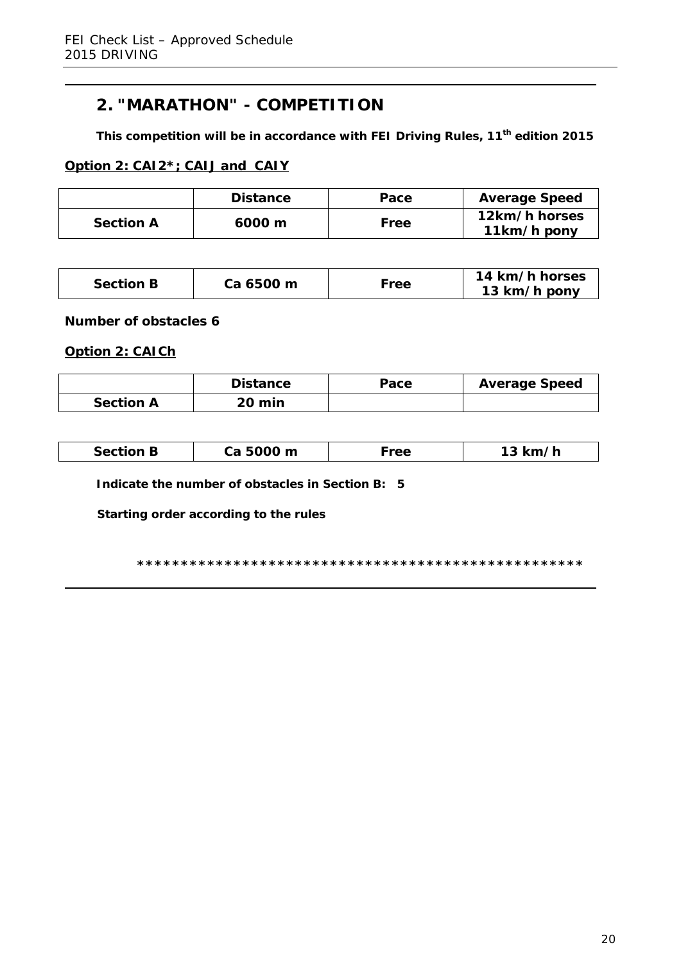# **2. "MARATHON" - COMPETITION**

**This competition will be in accordance with FEI Driving Rules, 11th edition 2015**

### **Option 2: CAI2\*; CAIJ and CAIY**

|                  | <b>Distance</b> | Pace | <b>Average Speed</b>         |
|------------------|-----------------|------|------------------------------|
| <b>Section A</b> | 6000 m          | Free | 12km/h horses<br>11km/h pony |

| <b>Section B</b> | Ca 6500 m<br>Tee | 14 km/h horses<br>13 km/h pony |
|------------------|------------------|--------------------------------|
|------------------|------------------|--------------------------------|

**Number of obstacles 6**

**Option 2: CAICh**

|                  | <b>Distance</b> | Pace | <b>Average Speed</b> |
|------------------|-----------------|------|----------------------|
| <b>Section A</b> | <b>20 min</b>   |      |                      |

|--|

**Indicate the number of obstacles in Section B: 5**

**Starting order according to the rules**

**\*\*\*\*\*\*\*\*\*\*\*\*\*\*\*\*\*\*\*\*\*\*\*\*\*\*\*\*\*\*\*\*\*\*\*\*\*\*\*\*\*\*\*\*\*\*\*\*\*\*\***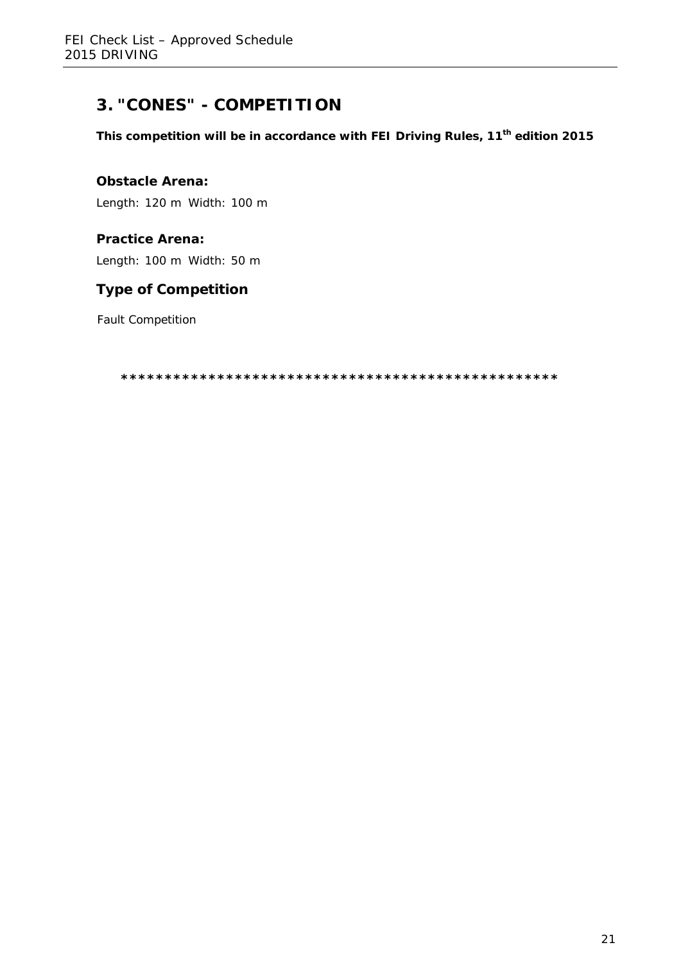# **3. "CONES" - COMPETITION**

**This competition will be in accordance with FEI Driving Rules, 11th edition 2015**

### **Obstacle Arena:**

Length: 120 m Width: 100 m

## **Practice Arena:**

Length: 100 m Width: 50 m

## **Type of Competition**

Fault Competition

**\*\*\*\*\*\*\*\*\*\*\*\*\*\*\*\*\*\*\*\*\*\*\*\*\*\*\*\*\*\*\*\*\*\*\*\*\*\*\*\*\*\*\*\*\*\*\*\*\*\***